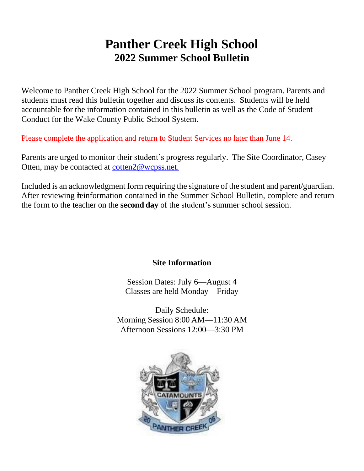## **Panther Creek High School 2022 Summer School Bulletin**

Welcome to Panther Creek High School for the 2022 Summer School program. Parents and students must read this bulletin together and discuss its contents. Students will be held accountable for the information contained in this bulletin as well as the Code of Student Conduct for the Wake County Public School System.

Please complete the application and return to Student Services no later than June 14.

Parents are urged to monitor their student's progress regularly. The Site Coordinator, Casey Otten, may be contacted at [cotten2@wcpss.net.](mailto:cotten@wcpss.net.)

Included is an acknowledgment form requiring the signature of the student and parent/guardian. After reviewing **te**information contained in the Summer School Bulletin, complete and return the form to the teacher on the **second day** of the student's summer school session.

### **Site Information**

Session Dates: July 6—August 4 Classes are held Monday—Friday

Daily Schedule: Morning Session 8:00 AM—11:30 AM Afternoon Sessions 12:00—3:30 PM

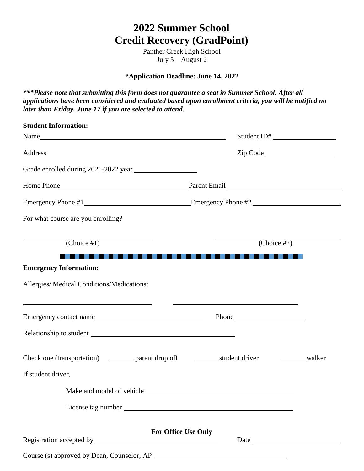Panther Creek High School July 5—August 2

**\*Application Deadline: June 14, 2022**

*\*\*\*Please note that submitting this form does not guarantee a seat in Summer School. After all applications have been considered and evaluated based upon enrollment criteria, you will be notified no later than Friday, June 17 if you are selected to attend.*

| <b>Student Information:</b>                                                                                                                                      |                                                                                           |        |
|------------------------------------------------------------------------------------------------------------------------------------------------------------------|-------------------------------------------------------------------------------------------|--------|
|                                                                                                                                                                  | Student ID#                                                                               |        |
|                                                                                                                                                                  | Zip Code                                                                                  |        |
| Grade enrolled during 2021-2022 year                                                                                                                             |                                                                                           |        |
|                                                                                                                                                                  |                                                                                           |        |
|                                                                                                                                                                  |                                                                                           |        |
| For what course are you enrolling?                                                                                                                               |                                                                                           |        |
| $\overline{(Choice #1)}$                                                                                                                                         | (Choice #2)                                                                               |        |
| <b>Emergency Information:</b>                                                                                                                                    |                                                                                           |        |
| Allergies/ Medical Conditions/Medications:                                                                                                                       |                                                                                           |        |
| <u> 1989 - Johann Barbara, marka a shekara tsa 1989 - An tsa 1989 - An tsa 1989 - An tsa 1989 - An tsa 1989 - An</u><br>Emergency contact name Phone Phone Phone | the control of the control of the control of the control of the control of the control of |        |
|                                                                                                                                                                  |                                                                                           |        |
|                                                                                                                                                                  |                                                                                           | walker |
| If student driver,                                                                                                                                               |                                                                                           |        |
|                                                                                                                                                                  |                                                                                           |        |
|                                                                                                                                                                  |                                                                                           |        |
| <b>For Office Use Only</b>                                                                                                                                       | Date                                                                                      |        |
|                                                                                                                                                                  |                                                                                           |        |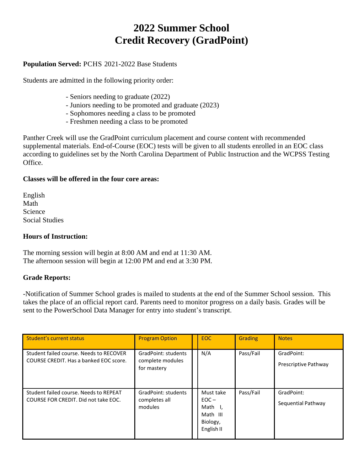#### **Population Served:** PCHS 2021-2022 Base Students

Students are admitted in the following priority order:

- Seniors needing to graduate (2022)
- Juniors needing to be promoted and graduate (2023)
- Sophomores needing a class to be promoted
- Freshmen needing a class to be promoted

Panther Creek will use the GradPoint curriculum placement and course content with recommended supplemental materials. End-of-Course (EOC) tests will be given to all students enrolled in an EOC class according to guidelines set by the North Carolina Department of Public Instruction and the WCPSS Testing Office.

#### **Classes will be offered in the four core areas:**

| English               |
|-----------------------|
| Math                  |
| Science               |
| <b>Social Studies</b> |

#### **Hours of Instruction:**

The morning session will begin at 8:00 AM and end at 11:30 AM. The afternoon session will begin at 12:00 PM and end at 3:30 PM.

#### **Grade Reports:**

-Notification of Summer School grades is mailed to students at the end of the Summer School session. This takes the place of an official report card. Parents need to monitor progress on a daily basis. Grades will be sent to the PowerSchool Data Manager for entry into student's transcript.

| Student's current status                                                          | <b>Program Option</b>                                  | EOC.                                                                  | <b>Grading</b> | <b>Notes</b>                       |
|-----------------------------------------------------------------------------------|--------------------------------------------------------|-----------------------------------------------------------------------|----------------|------------------------------------|
| Student failed course. Needs to RECOVER<br>COURSE CREDIT. Has a banked EOC score. | GradPoint: students<br>complete modules<br>for mastery | N/A                                                                   | Pass/Fail      | GradPoint:<br>Prescriptive Pathway |
| Student failed course. Needs to REPEAT<br>COURSE FOR CREDIT. Did not take EOC.    | GradPoint: students<br>completes all<br>modules        | Must take<br>$EOC -$<br>Math I.<br>Math III<br>Biology,<br>English II | Pass/Fail      | GradPoint:<br>Sequential Pathway   |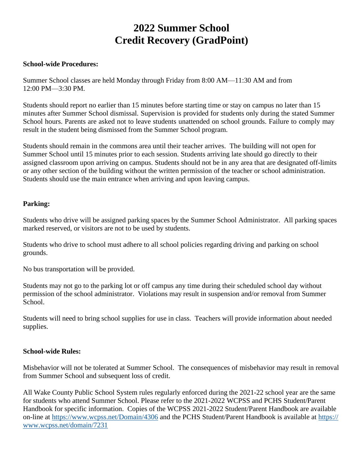#### **School-wide Procedures:**

Summer School classes are held Monday through Friday from 8:00 AM—11:30 AM and from 12:00 PM—3:30 PM.

Students should report no earlier than 15 minutes before starting time or stay on campus no later than 15 minutes after Summer School dismissal. Supervision is provided for students only during the stated Summer School hours. Parents are asked not to leave students unattended on school grounds. Failure to comply may result in the student being dismissed from the Summer School program.

Students should remain in the commons area until their teacher arrives. The building will not open for Summer School until 15 minutes prior to each session. Students arriving late should go directly to their assigned classroom upon arriving on campus. Students should not be in any area that are designated off-limits or any other section of the building without the written permission of the teacher or school administration. Students should use the main entrance when arriving and upon leaving campus.

#### **Parking:**

Students who drive will be assigned parking spaces by the Summer School Administrator. All parking spaces marked reserved, or visitors are not to be used by students.

Students who drive to school must adhere to all school policies regarding driving and parking on school grounds.

No bus transportation will be provided.

Students may not go to the parking lot or off campus any time during their scheduled school day without permission of the school administrator. Violations may result in suspension and/or removal from Summer School.

Students will need to bring school supplies for use in class. Teachers will provide information about needed supplies.

#### **School-wide Rules:**

Misbehavior will not be tolerated at Summer School. The consequences of misbehavior may result in removal from Summer School and subsequent loss of credit.

All Wake County Public School System rules regularly enforced during the 2021-22 school year are the same for students who attend Summer School. Please refer to the 2021-2022 WCPSS and PCHS Student/Parent Handbook for specific information. Copies of the WCPSS 2021-2022 Student/Parent Handbook are available on-line at<https://www.wcpss.net/Domain/4306> and the PCHS Student/Parent Handbook is available at [https://](https://www.wcpss.net/domain/7231) [www.wcpss.net/domain/7231](https://www.wcpss.net/domain/7231)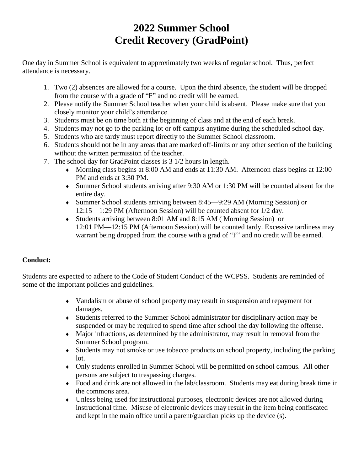One day in Summer School is equivalent to approximately two weeks of regular school. Thus, perfect attendance is necessary.

- 1. Two (2) absences are allowed for a course. Upon the third absence, the student will be dropped from the course with a grade of "F" and no credit will be earned.
- 2. Please notify the Summer School teacher when your child is absent. Please make sure that you closely monitor your child's attendance.
- 3. Students must be on time both at the beginning of class and at the end of each break.
- 4. Students may not go to the parking lot or off campus anytime during the scheduled school day.
- 5. Students who are tardy must report directly to the Summer School classroom.
- 6. Students should not be in any areas that are marked off-limits or any other section of the building without the written permission of the teacher.
- 7. The school day for GradPoint classes is 3 1/2 hours in length.
	- Morning class begins at 8:00 AM and ends at 11:30 AM. Afternoon class begins at 12:00 PM and ends at 3:30 PM.
	- Summer School students arriving after 9:30 AM or 1:30 PM will be counted absent for the entire day.
	- Summer School students arriving between 8:45—9:29 AM (Morning Session) or 12:15—1:29 PM (Afternoon Session) will be counted absent for 1/2 day.
	- Students arriving between 8:01 AM and 8:15 AM ( Morning Session) or 12:01 PM—12:15 PM (Afternoon Session) will be counted tardy. Excessive tardiness may warrant being dropped from the course with a grad of "F" and no credit will be earned.

#### **Conduct:**

Students are expected to adhere to the Code of Student Conduct of the WCPSS. Students are reminded of some of the important policies and guidelines.

- Vandalism or abuse of school property may result in suspension and repayment for damages.
- Students referred to the Summer School administrator for disciplinary action may be suspended or may be required to spend time after school the day following the offense.
- Major infractions, as determined by the administrator, may result in removal from the Summer School program.
- Students may not smoke or use tobacco products on school property, including the parking lot.
- Only students enrolled in Summer School will be permitted on school campus. All other persons are subject to trespassing charges.
- Food and drink are not allowed in the lab/classroom. Students may eat during break time in the commons area.
- Unless being used for instructional purposes, electronic devices are not allowed during instructional time. Misuse of electronic devices may result in the item being confiscated and kept in the main office until a parent/guardian picks up the device (s).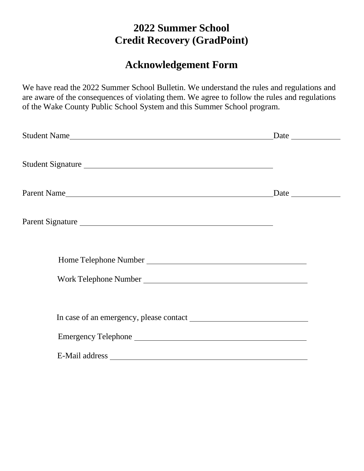### **Acknowledgement Form**

We have read the 2022 Summer School Bulletin. We understand the rules and regulations and are aware of the consequences of violating them. We agree to follow the rules and regulations of the Wake County Public School System and this Summer School program.

| Student Name Date Development Contract and Date Date                                                                                                                                                                           |  |
|--------------------------------------------------------------------------------------------------------------------------------------------------------------------------------------------------------------------------------|--|
| Student Signature                                                                                                                                                                                                              |  |
|                                                                                                                                                                                                                                |  |
| Parent Signature                                                                                                                                                                                                               |  |
|                                                                                                                                                                                                                                |  |
|                                                                                                                                                                                                                                |  |
|                                                                                                                                                                                                                                |  |
|                                                                                                                                                                                                                                |  |
| E-Mail address and the contract of the contract of the contract of the contract of the contract of the contract of the contract of the contract of the contract of the contract of the contract of the contract of the contrac |  |